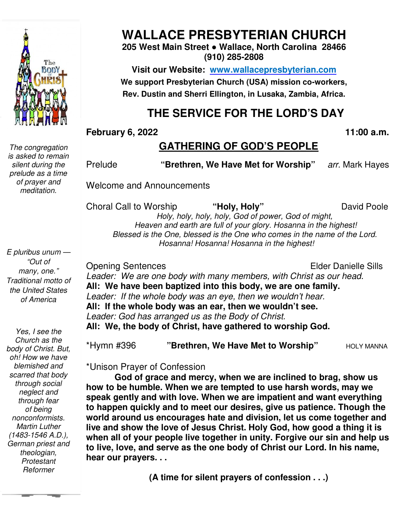

*The congregation is asked to remain silent during the prelude as a time of prayer and meditation.* 

*E pluribus unum — "Out of many, one." Traditional motto of the United States of America* 

 *German priest and Yes, I see the Church as the body of Christ. But, oh! How we have blemished and scarred that body through social neglect and through fear of being nonconformists. Martin Luther (1483-1546 A.D.), theologian, Protestant Reformer* 

# **WALLACE PRESBYTERIAN CHURCH**

#### **205 West Main Street ● Wallace, North Carolina 28466 (910) 285-2808**

**Visit our Website: www.wallacepresbyterian.com** We support Presbyterian Church (USA) mission co-workers, **Rev. Dustin and Sherri Ellington, in Lusaka, Zambia, Africa. Sherri Ellington,** 

# **THE SERVICE FOR THE LORD'S DAY**

#### **February 6, 2022**

#### **, 11:00 a.m.**

#### **GATHERING OF GOD'S PEOPLE**

Prelude **"Brethren, We Have Met for Worship Worship"** *arr.* Mark Haye

Welcome and Announcements

and Announcements<br>Il to Worship "**Holy, Holy**" David Pool

David Poole

 *Holy, holy, holy, h holy, God of power, God of might, Heaven and earth are full of your glory. Hosanna in the highest! Blessed is the One, blessed is the One who comes in the name of the Lord. Hosanna! Hosanna! Hosanna in the highest!*

Opening Sentences

Choral Call to Worship

Elder Danielle Sills

Leader: We are one body with many members, with Christ as our head. **All: We have been baptized into this body, we are one family.**  *Leader: If the whole body was an eye, then we wouldn't hear.* **All: If the whole body was an ear, then we wouldn't see.** *Leader: God has arranged us as the Body of Christ.* All: We, the body of Christ, have gathered to worship God. : If the whole body was an eye, then we wou<br>**the whole body was an ear, then we would**<br>: God has arranged us as the Body of Christ.

\*Hymn #396 **"Brethren, We Have Met to Worship Worship"** HOLY MANNA

\*Unison Prayer of Confession

**God of grace and mercy, when we are inclined to brag, show us how to be humble. When we are tempted to use harsh words, may we speak gently and with love. When we are impatient and want everything to happen quickly and to meet our desires, give us patience. Though the**  God of grace and mercy, when we are inclined to brag, show us<br>how to be humble. When we are tempted to use harsh words, may we<br>speak gently and with love. When we are impatient and want everything<br>to happen quickly and to **live and show the love of Jesus Christ. Holy God, how good a thing it is when all of your people live together in unity. Forgive our sin and help us**  live and show the love of Jesus Christ. Holy God, how good a thing it is<br>when all of your people live together in unity. Forgive our sin and help **ι**<br>to live, love, and serve as the one body of Christ our Lord. In his name **hear our prayers. . . Prelude** "Brethren, We Have Met for Worship" arr. Mark Hayes<br>
Welcome and Announcements<br>
Choral Call to Worship "Holy, Holy" David Poole<br>
Heaven and earth are full of your dopy. Hosanna in the highest!<br>
Blessed is the One

**(A time for silent prayers of confession . . .)**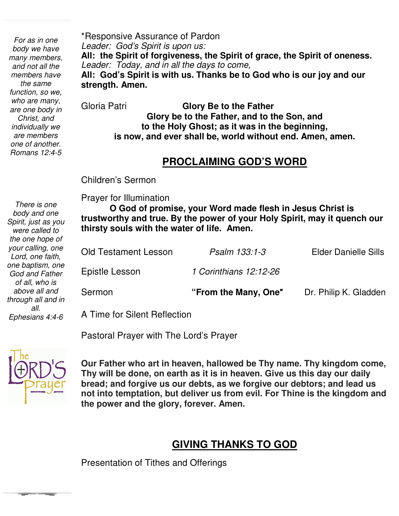*one of another. For as in one body we have many members, and not all the members have the same function, so we, who are many, are one body in Christ, and individually we are members Romans 12:4-5* 

*There is one body and one Spirit, just as you were called to the one hope of* 

\*Responsive Assurance of Pardon *Leader: God's Spirit is upon us:* **All: the Spirit of forgiveness, the Spirit of grace, the Spirit of oneness.** *Leader: Today, and in all the days to come,* **All: God's Spirit is with us. Thanks be to God who is our joy and our strength. Amen.**

Gloria Patri **Glory Be to the Father Glory be to the Father, and to the Son, and to the Holy Ghost; as it was in the beginning, is now, and ever shall be, world without end. Amen, amen.** 

# **PROCLAIMING GOD'S WORD**

Children's Sermon

Prayer for Illumination

 **trustworthy and true. By the power of your Holy Spirit, may it quench our O God of promise, your Word made flesh in Jesus Christ is thirsty souls with the water of life. Amen.**

| your calling, one<br>Lord, one faith,                 | <b>Old Testament Lesson</b>  | Psalm 133:1-3          | <b>Elder Danielle Sills</b> |
|-------------------------------------------------------|------------------------------|------------------------|-----------------------------|
| one baptism, one<br>God and Father                    | Epistle Lesson               | 1 Corinthians 12:12-26 |                             |
| of all, who is<br>above all and<br>through all and in | Sermon                       | "From the Many, One"   | Dr. Philip K. Gladden       |
| all.<br>Ephesians 4:4-6                               | A Time for Silent Reflection |                        |                             |

Pastoral Prayer with The Lord's Prayer



 **not into temptation, but deliver us from evil. For Thine is the kingdom and Our Father who art in heaven, hallowed be Thy name. Thy kingdom come, Thy will be done, on earth as it is in heaven. Give us this day our daily bread; and forgive us our debts, as we forgive our debtors; and lead us the power and the glory, forever. Amen.**

#### **GIVING THANKS TO GOD**

Presentation of Tithes and Offerings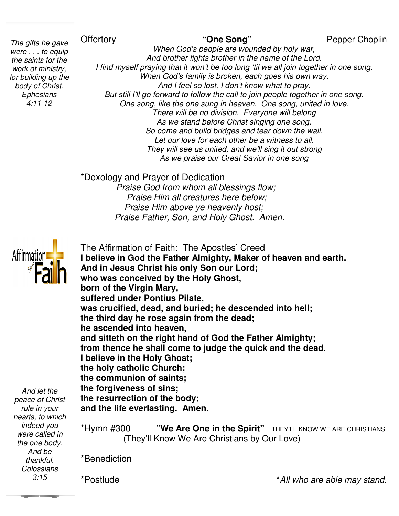#### **Offertory**

 *for building up the The gifts he gave were . . . to equip the saints for the work of ministry, body of Christ. Ephesians 4:11-12* 

Pepper Choplin

*When God's people are wounded by holy war, And brother fights brother in the name of the Lord. I find myself praying that it won't be too long 'til we all join together in one song. When God's family is broken, each goes his own way. And I feel so lost, I don't know what to pray. I find myself praying that it won't be too long 'til we all join together*<br>*When God's family is broken, each goes his own way.*<br>*And I feel so lost, I don't know what to pray.*<br>But still I'll go forward to follow the cal *One song, like the one sung in heaven. the one heaven. One song, united in love. There will be no division. division. Everyone will belong As we stand before Christ singing one song. So come and build bridges and tear down the wall.* Let our love for each other be a witness to all. *They will see us united, and we'll sing it out strong As we praise our Great Savior in one song ave* Offertory *When God's people are wounded by holy war,*<br> *puip When God's people are wounded by holy war,*<br> *And brother fights brother in the name of the Lord.*<br> *I find myself praying that it won't be too long 'ti* When God's people are wounded by holy war,<br>And brother fights brother in the name of the Lord.<br>raying that it won't be too long 'til we all join together in one son<br>then God's family is broken, each goes his own way.<br>And I

\*Doxology and Prayer of Dedication *Praise God from whom whom all blessings flow;* 

 *Praise Him all creatures here below; Praise Him above ye heavenly host;*  Praise Him all creatures here below;<br>Praise Him above ye heavenly host;<br>Praise Father, Son, and Holy Ghost. Amen.



The Affirmation of Faith: The Apostles' Creed **I believe in God the Father Almighty, Maker of heaven and earth. And in Jesus Christ his only Son our Lord; who was conceived by the Holy Ghost, born of the Virgin Mary, suffered under Pontius Pilate,**  And in Jesus Christ his only Son our Lord;<br>who was conceived by the Holy Ghost,<br>born of the Virgin Mary,<br>suffered under Pontius Pilate,<br>was crucified, dead, and buried; he descended into hell; **the third day he rose again from the dead; he ascended into heaven, and sitteth on the right hand of God the Father Almighty; from thence he shall come to judge the quick and the dead. I believe in the Holy Ghost; the holy catholic Church; the communion of saints; the forgiveness of sins; the resurrection of the body; and the life everlasting. Amen.** third day he rose again from the dead;<br>ascended into heaven,<br>d sitteth on the right hand of God the Father<br>m thence he shall come to judge the quick a<br>elieve in the Holy Ghost;<br>holy catholic Church;<br>communion of saints;<br>fo

*And let the peace of Christ rule in your hearts, to which indeed you were called in the one body. And be thankful. Colossians 3:15*

**\*Hymn #300**  $\blacksquare$  **"We Are One in the Spirit"** THEY'LL KNOW WE ARE CHRISTIANS (They'll Know We Are Christians by Our Love)

\*Benediction

\*Postlude

\**All who are able may stand stand.*